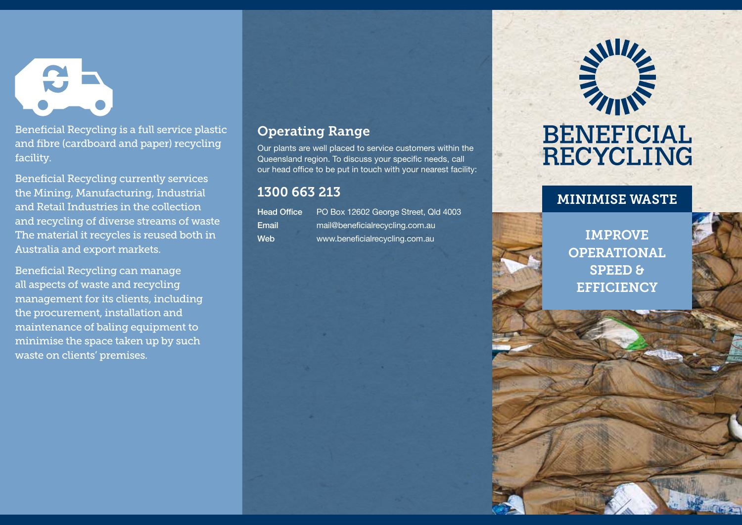Beneficial Recycling is a full service plastic and fibre (cardboard and paper) recycling facility.

Beneficial Recycling currently services the Mining, Manufacturing, Industrial and Retail Industries in the collection and recycling of diverse streams of waste The material it recycles is reused both in Australia and export markets.

Beneficial Recycling can manage all aspects of waste and recycling management for its clients, including the procurement, installation and maintenance of baling equipment to minimise the space taken up by such waste on clients' premises.

## Operating Range

Our plants are well placed to service customers within the Queensland region. To discuss your specific needs, call our head office to be put in touch with your nearest facility:

### 1300 663 213

| <b>Head Office</b> | PO Box 12602 George Street, Qld 4003 |
|--------------------|--------------------------------------|
| Email              | mail@beneficialrecycling.com.au      |
| Web                | www.beneficialrecycling.com.au       |



# **BENEFICIAL RECYCLING**

# MINIMISE WASTE

IMPROVE OPERATIONAL SPEED & **EFFICIENCY**